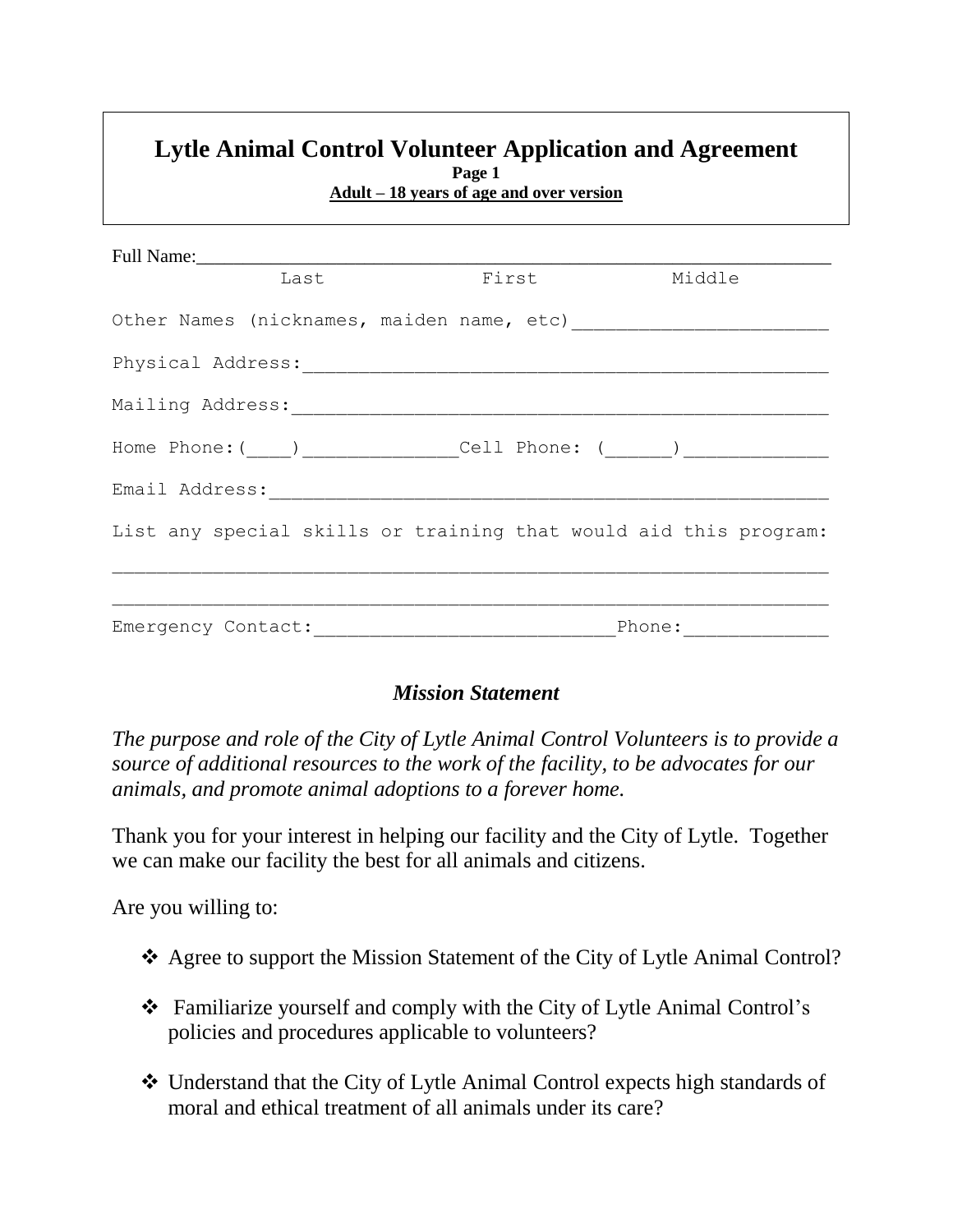## **Lytle Animal Control Volunteer Application and Agreement Page 1 Adult – 18 years of age and over version**

|                                           |  | Last First Middle                                                                |  |  |  |
|-------------------------------------------|--|----------------------------------------------------------------------------------|--|--|--|
|                                           |  |                                                                                  |  |  |  |
|                                           |  |                                                                                  |  |  |  |
|                                           |  |                                                                                  |  |  |  |
|                                           |  | Home Phone: (____) _______________Cell Phone: (______) _________________________ |  |  |  |
| Email Address: ____________________       |  |                                                                                  |  |  |  |
|                                           |  | List any special skills or training that would aid this program:                 |  |  |  |
|                                           |  |                                                                                  |  |  |  |
| Emergency Contact: National Phone: Phone: |  |                                                                                  |  |  |  |

# *Mission Statement*

*The purpose and role of the City of Lytle Animal Control Volunteers is to provide a source of additional resources to the work of the facility, to be advocates for our animals, and promote animal adoptions to a forever home.* 

Thank you for your interest in helping our facility and the City of Lytle. Together we can make our facility the best for all animals and citizens.

Are you willing to:

- Agree to support the Mission Statement of the City of Lytle Animal Control?
- Familiarize yourself and comply with the City of Lytle Animal Control's policies and procedures applicable to volunteers?
- Understand that the City of Lytle Animal Control expects high standards of moral and ethical treatment of all animals under its care?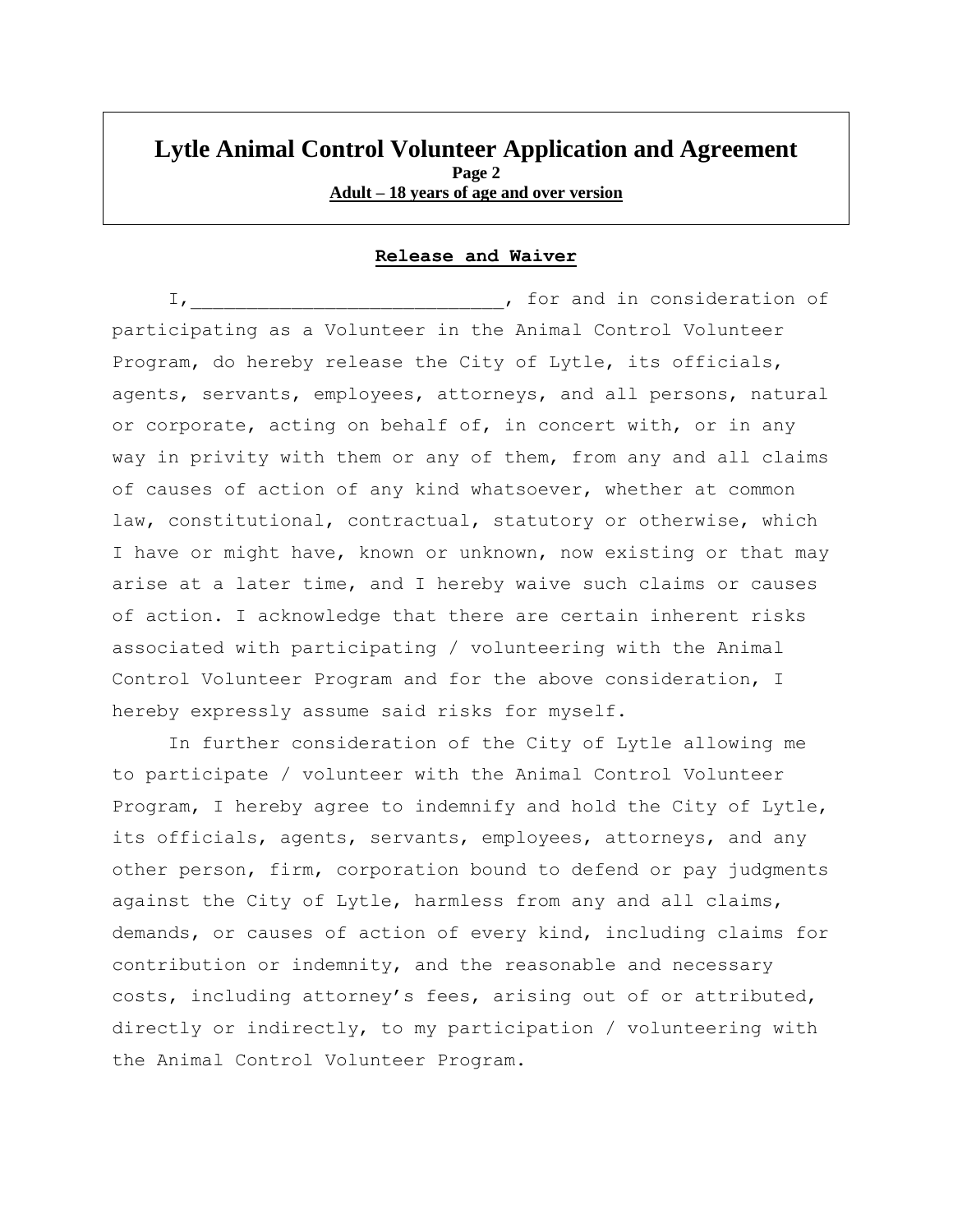#### **Lytle Animal Control Volunteer Application and Agreement Page 2 Adult – 18 years of age and over version**

#### **Release and Waiver**

I, tor and in consideration of participating as a Volunteer in the Animal Control Volunteer Program, do hereby release the City of Lytle, its officials, agents, servants, employees, attorneys, and all persons, natural or corporate, acting on behalf of, in concert with, or in any way in privity with them or any of them, from any and all claims of causes of action of any kind whatsoever, whether at common law, constitutional, contractual, statutory or otherwise, which I have or might have, known or unknown, now existing or that may arise at a later time, and I hereby waive such claims or causes of action. I acknowledge that there are certain inherent risks associated with participating / volunteering with the Animal Control Volunteer Program and for the above consideration, I hereby expressly assume said risks for myself.

In further consideration of the City of Lytle allowing me to participate / volunteer with the Animal Control Volunteer Program, I hereby agree to indemnify and hold the City of Lytle, its officials, agents, servants, employees, attorneys, and any other person, firm, corporation bound to defend or pay judgments against the City of Lytle, harmless from any and all claims, demands, or causes of action of every kind, including claims for contribution or indemnity, and the reasonable and necessary costs, including attorney's fees, arising out of or attributed, directly or indirectly, to my participation / volunteering with the Animal Control Volunteer Program.